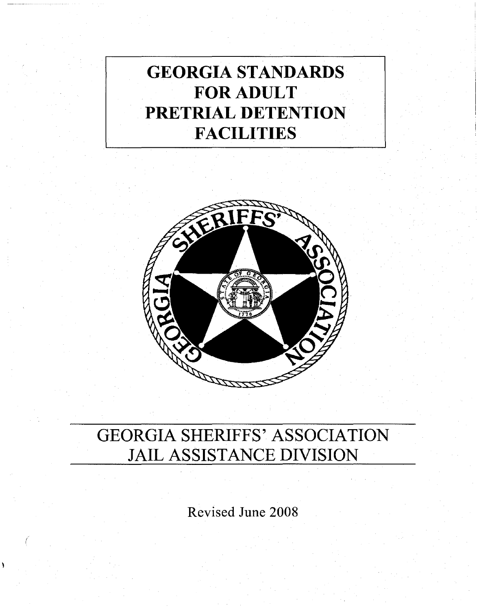# GEORGIA STANDARDS FOR ADULT PRETRIAL DETENTION **FACILITIES**



## GEORGIA SHERIFFS' ASSOCIATION JAIL ASSISTANCE DIVISION

Revised June 2008

(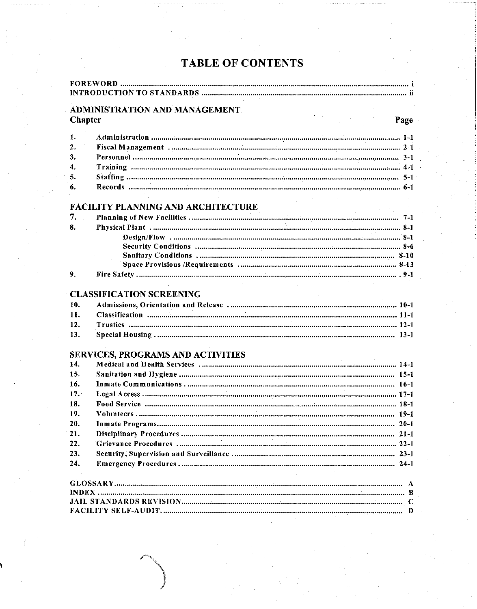## **TABLE OF CONTENTS**

| <b>ADMINISTRATION AND MANAGEMENT.</b> |                                           |  |
|---------------------------------------|-------------------------------------------|--|
|                                       |                                           |  |
| $\mathbf{1}$ .                        |                                           |  |
| 2.                                    |                                           |  |
| 3.                                    |                                           |  |
| $\boldsymbol{4}$ .                    |                                           |  |
| 5.                                    |                                           |  |
| 6.                                    |                                           |  |
|                                       | <b>FACILITY PLANNING AND ARCHITECTURE</b> |  |
| 7.                                    |                                           |  |
| 8.                                    |                                           |  |
|                                       |                                           |  |
|                                       |                                           |  |
|                                       |                                           |  |
|                                       |                                           |  |
| 9.                                    |                                           |  |
|                                       | <b>CLASSIFICATION SCREENING</b>           |  |
| 10.                                   |                                           |  |
| 11.                                   |                                           |  |
| 12.                                   |                                           |  |
| 13.                                   |                                           |  |
|                                       | <b>SERVICES, PROGRAMS AND ACTIVITIES</b>  |  |
| 14.                                   |                                           |  |
| 15.                                   |                                           |  |
| 16.                                   |                                           |  |
| 17.                                   |                                           |  |
| 18.                                   |                                           |  |
| 19.                                   |                                           |  |
| 20.                                   |                                           |  |
| 21.                                   |                                           |  |
| 22.                                   |                                           |  |
| 23.                                   |                                           |  |
| 24.                                   |                                           |  |
|                                       |                                           |  |
|                                       |                                           |  |
|                                       |                                           |  |
|                                       |                                           |  |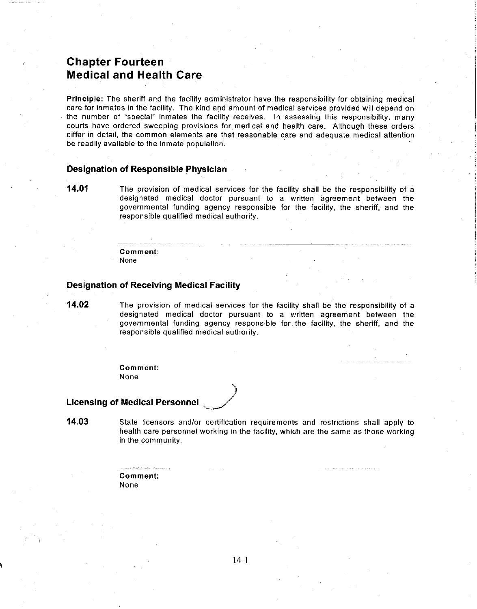## **Chapter Fourteen Medical and Health Care**

**Principle:** The sheriff and the facility administrator have the responsibility for obtaining medical care for inmates in the facility. The kind and amount of medicai services provided will depend on the number of "special" inmates the facility receives. In assessing this responsibility, many courts have ordered sweeping provisions for medical and health care. Although these orders differ in detail, the common elements are that reasonable care and adequate medical attention be readily availabie to the inmate population.

## **Designation of Responsible Physician**

**14.01** The provision of medical services for the facility shall be the responsibility of a designated medical doctor pursuant to a written agreement between the governmental funding agency responsible for the facility, the sheriff, and the responsible qualified medical authority.

> **Comment: None**

#### **Designation of Receiving Medical Facility**

**14.02** The provision of medical services for the facility shall be the responsibility of a designated medical doctor pursuant to a written agreement between the governmental funding agency responsible for the facility, the sheriff, and the responsible qualified medical authority.

> **Comment:** None

#### **Licensing of Medical Personnel**

**14.03** State licensors and/or certification requirements and restrictions shall apply to health care personnel working in the facility, which are the same as those working in the community.

> **Comment:** None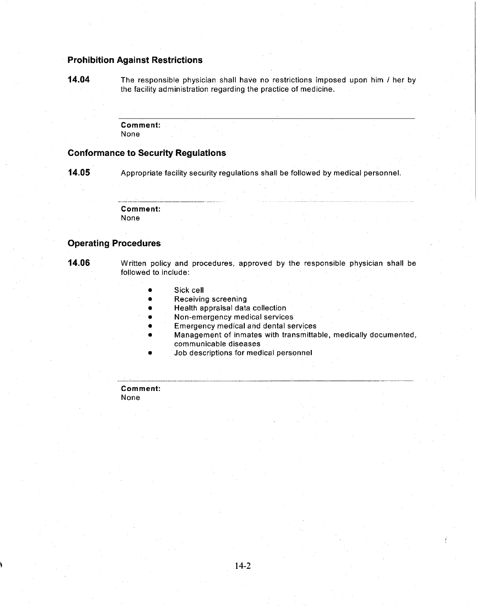## **Prohibition Against Restrictions**

**14.04** The responsible physician shall have no restrictions imposed upon him I her by the facility administration regarding the practice of medicine.

> **Comment:** None

### **Conformance to Security Regulations**

**14.05** Appropriate facility security regulations shall be followed by medical personnel.

**Comment:** None

## **Operating Procedures**

**14.06** Written policy and procedures, approved by the responsible physician shall be followed to include:

- Sick cell
- Receiving screening
- Health appraisal data collection
- Non-emergency medical services
- **Emergency medical and dental services**
- Management of inmates with transmittable, medically documented, communicable diseases

...........\_. \_\_.\_\_ \_-------\_....:......\_--'--------\_.\_\_.~.\_------~~

• Job descriptions for medical personnel

**Comment:**

None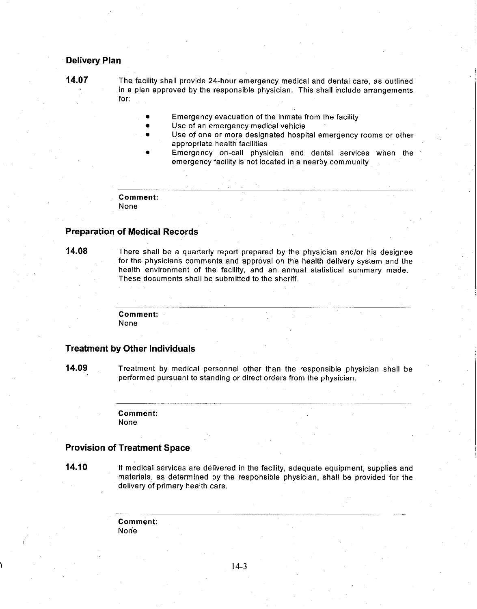#### **Delivery Plan**

**14.07** The facility shall provide 24-hour emergency medical and dental care, as outlined in a plan approved by the responsible physician. This shall include arrangements for:

- Emergency evacuation of the inmate from the facility
- Use of an emergency medical vehicle
- Use of one or more designated hospital emergency rooms or other appropriate health facilities
- Emergency on-call physician and dental services when the emergency facility is not located in a nearby community

**Comment:**

None

#### **Preparation of Medical Records**

**14.08** There shall be a quarterly report prepared by the physician and/or his designee for the physicians comments and approval on the health delivery system and the health environment of the facility, and an annual statistical summary made. These documents shall be submitted to the sheriff.

> **Comment:** None

## **Treatment by Other Individuals**

**14.09** Treatment by medical personnel other than the responsible physician shall be performed pursuant to standing or direct orders from the physician.

> **Comment:** None

#### **Provision of Treatment Space**

**14.10** If medical services are delivered in the facility, adequate equipment, supplies and materials, as determined by the responsible physician, shall be provided for the delivery of primary health care.

> **Comment:** None

> > 14-3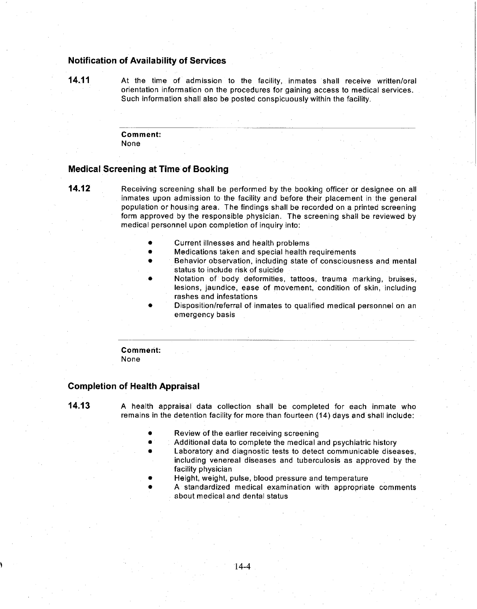## Notification of Availability of Services

14.11 At the time of admission to the facility, inmates shall receive written/oral orientation information on the procedures for gaining access to medical services. Such information shall also be posted conspicuously within the facility.

#### Comment: None

#### Medical Screening at Time of Booking

**14.12** Receiving screening shall be performed by the booking officer or designee on all inmates upon admission to the facility and before their placement in the general population or housing area. The findings shall be recorded on a printed screening form approved by the responsible physician. The screening shall be reviewed by medical personnel upon completion of inquiry into:

• Current illnesses and health problems

.\_----~- --------------------------------

- Medications taken and special health requirements
- Behavior observation, including state of consciousness and mental status to include risk of suicide
- Notation of body deformities, tattoos, trauma marking, bruises, lesions. jaundice, ease of movement, condition of skin, including rashes and infestations
- Disposition/referral of· inmates to qualified medical personnel on an emergency basis

#### Comment: None

#### Completion of Health Appraisal

14.13 A health appraisal data collection shall be completed for each inmate who remains in the detention facility for more than fourteen (14) days and shall include:

- Review of the earlier receiving screening
- Additional data to complete the medical and psychiatric history
- Laboratory and diagnostic tests to detect communicable diseases, including venereal diseases and tuberculosis as approved by the facility physician
- Height, weight, pulse, blood pressure and temperature
- A standardized medical examination with appropriate comments about medical and dental status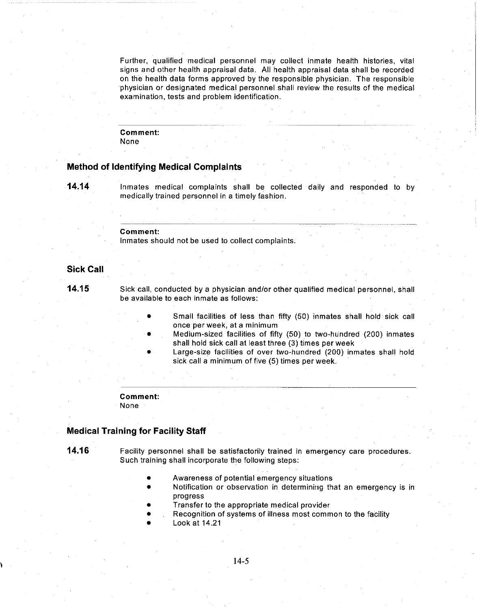Further, qualified medical personnel may collect inmate health histories, vital signs and other health appraisal data. All health appraisal data shall be recorded on the health data forms approved by the responsible physician. The responsible physician or designated medical personnel shall review the results of the medical examination, tests and problem identification.

#### Comment: None

#### **Method of Identifying Medical Complaints**

**14.14**

Inmates medical complaints shall be collected daily and responded to by medically trained personnel in a timely fashion.

#### **Comment:**

Inmates should not be used to collect complaints.

### **Sick Call**

**14.15**

Sick call, conducted by a physician and/or other qualified medical personnel, shall be available to each inmate as follows:

- Small facilities of less than fifty (50) inmates shall hold sick call once per week, at a minimum
- Medium-sized facilities of fifty (50) to two-hundred (200) inmates shall hold sick call at least three (3) times per week
- Large-size facilities of over two-hundred (200) inmates shall hold sick call a minimum of five (5) times per week.

## **Comment:**

None

## **Medical Training for Facility Staff**

**14.16** Facility personnel shall be satisfactorily trained in emergency care procedures. Such training shall incorporate the following steps:

- Awareness of potential emergency situations
- Notification or observation in determining that an emergency is in progress
- Transfer to the appropriate medical provider
- Recognition of systems of illness most common to the facility
- Look at 14.21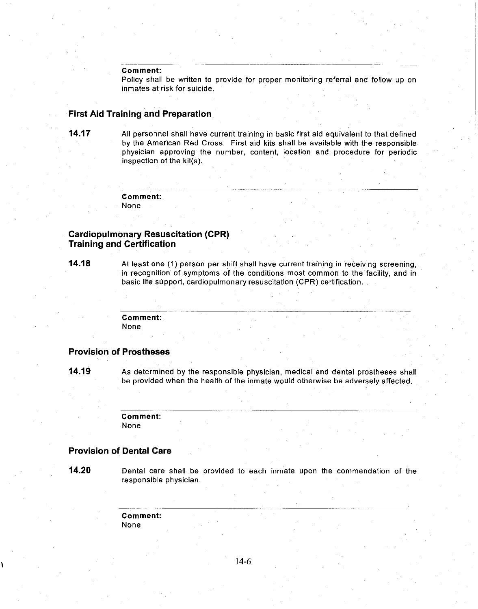#### **Comment:**

Policy shall be written to provide for proper monitoring referral and follow up on inmates at risk for suicide.

#### **First Aid Training and Preparation**

**14.17** All personnel shall have current training in basic first aid equivalent to that defined by the American Red Cross. First aid kits shall be available with the responsible physician approving the number, content, location and procedure for periodic inspection of the kit(s),

**Comment:**

None

## **Cardiopulmonary Resuscitation (CPR) Training and Certification**

**14.18** At least one (1) person per shift shall have current training in receiving screening, in recognition of symptoms of the conditions most common to the facility, and in basic life support, cardiopulmonary resuscitation (CPR) certification,

> **Comment:** None

#### **Provision of Prostheses**

**14.19** As determined by the responsible physician, medical and dental prostheses shall be provided when the health of the inmate would otherwise be adversely affected,

> **Comment:** None

#### **Provision of Dental Care**

**14.20** Dental care shall be provided to each inmate upon the commendation of the responsible physician,

> **Comment:** None

> > 14-6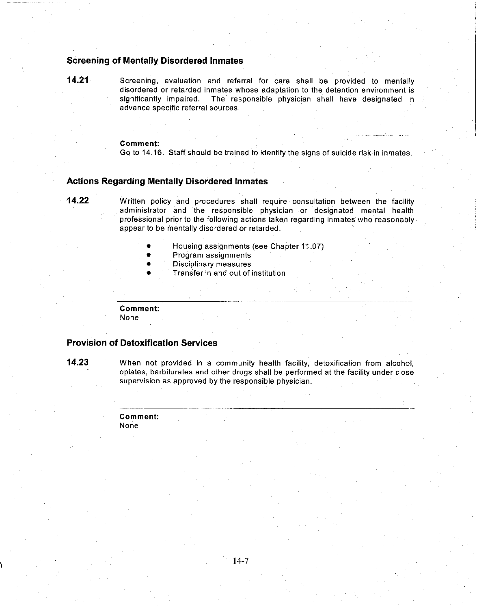## **Screening of Mentally Disordered Inmates**

**14.21** Screening, evaluation and referral for care shall be provided to mentally disordered or retarded inmates whose adaptation to the detention environment is significantly impaired. The responsible physician shall have designated in The responsible physician shall have designated in advance specific referral sources.

#### **Comment:**

Go to 14.16. Staff should be trained to identify the signs of suicide risk in inmates.

#### **Actions Regarding Mentally Disordered Inmates**

**14.22** Written policy and procedures shall require consultation between the facility administrator and the responsible physician or designated mental health professional prior to the following actions taken regarding inmates who reasonably appear to be mentally disordered or retarded.

- Housing assignments (see Chapter 11.07)
- Program assignments
- Disciplinary measures
- Transfer in and out of institution

**Comment:**

None

## **Provision of Detoxification Services**

**14.23** When not provided in a community health facility, detoxification from alcohol, opiates, barbiturates and other drugs shall be performed at the facility under close supervision as approved by the responsible physician.

> **Comment:** None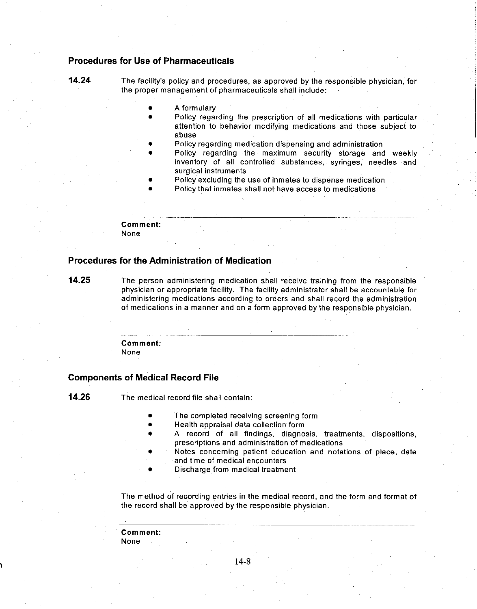## **Procedures for Use of Pharmaceuticals**

**14.24** The facility's policy and procedures, as approved by the responsible physician, for the proper management of pharmaceuticals shall include:

- A formulary
- Policy regarding the prescription of all medications with particular attention to behavior modifying medications and those subject to abuse
- Policy regarding medication dispensing and administration
- Policy regarding the maximum security storage and weekly inventory of all controlled substances, syringes, needles and surgical instruments
- Policy excluding the use of inmates to dispense medication
- Policy that inmates shall not have access to medications

**Comment:**

None

#### **Procedures for the Administration of Medication**

**14.25** The person administering medication shall receive training from the responsible physician or appropriate facility. The facility administrator shall be accountable for administering medications according to orders and shall record the administration of medications in a manner and on a form approved by the responsible physician.

> **Comment:** None

#### **Components of Medical Record File**

**14.26** The medical record file shall contain:

- The completed receiving screening form
- Health appraisal data collection form
- A record of all findings, diagnosis, treatments, dispositions, prescriptions and administration of medications
- Notes concerning patient education and notations of place, date and time of medical encounters
- Discharge from medical treatment

The method of recording entries in the medical record, and the form and format of the record shall be approved by the responsibie physician.

**Comment:** None

14-8